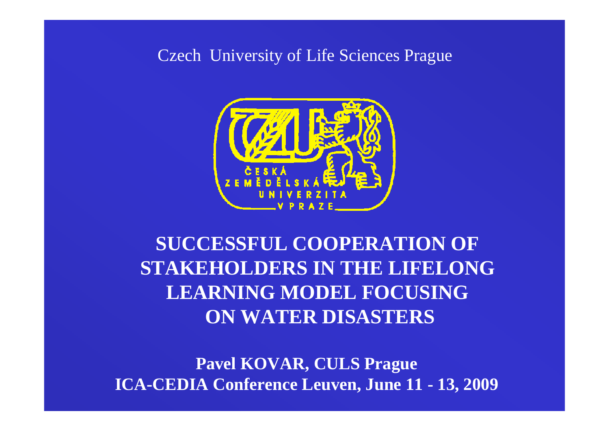#### Czech University of Life Sciences Prague



# **SUCCESSFUL COOPERATION OF STAKEHOLDERS IN THE LIFELONG LEARNING MODEL FOCUSING ON WATER DISASTERS**

**Pavel KOVAR, CULS Prague ICA-CEDIA Conference Leuven, June 11 - 13, 2009**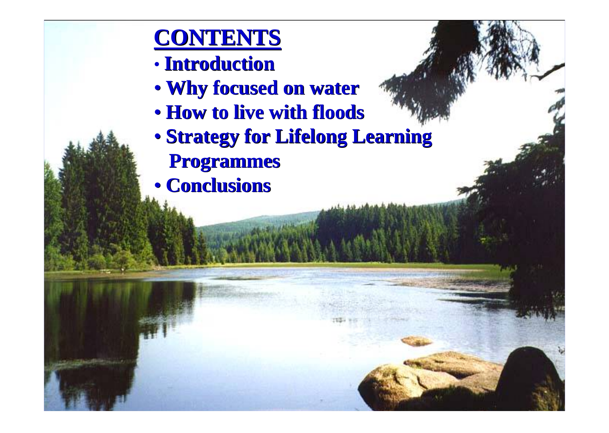# **CONTENTS**

- **Introduction**
- **Why focused on water**
- **How to live with floods**
- **Strategy for Lifelong Learning Programmes**
- **Conclusions**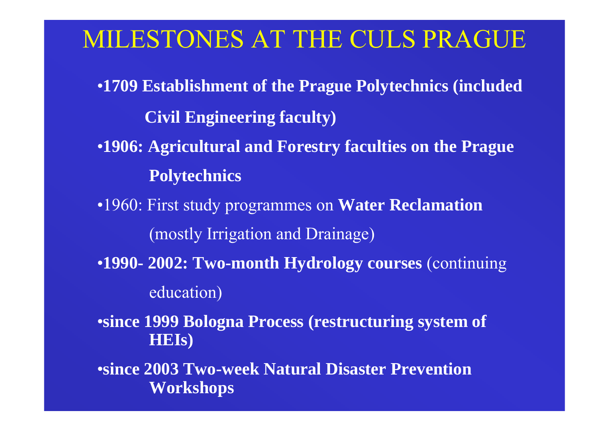# MILESTONES AT THE CULS PRAGUE

- •**1709 Establishment of the Prague Polytechnics (included Civil Engineering faculty)**
- •**1906: Agricultural and Forestry faculties on the Prague Polytechnics**
- •1960: First study programmes on **Water Reclamation** (mostly Irrigation and Drainage)
- •**1990- 2002: Two-month Hydrology courses** (continuing education)
- •**since 1999 Bologna Process (restructuring system of HEIs)**

•**since 2003 Two-week Natural Disaster Prevention Workshops**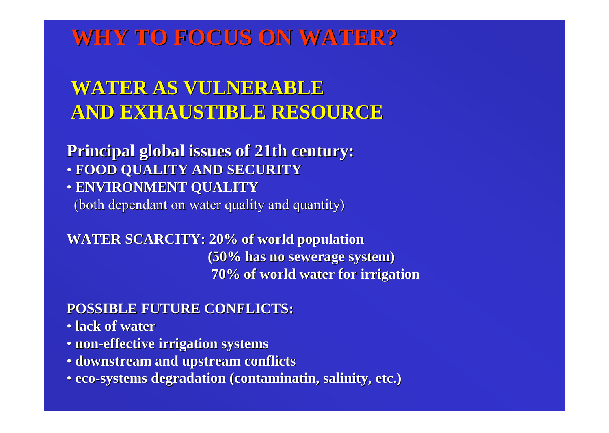## **WHY TO FOCUS ON WATER?**

# **WATER AS VULNERABLE AND EXHAUSTIBLE RESOURCE**

- **Principal global issues of 21th century:** • **FOOD QUALITY AND SECURITY**
- **ENVIRONMENT QUALITY**

(both dependant on water quality and quantity)

**WATER SCARCITY: 20% of world population (50% has no sewerage system) 70% of world water for irrigation**

#### **POSSIBLE FUTURE CONFLICTS:**

- **lack of water**
- **non-effective irrigation systems**
- **downstream and upstream conflicts**
- **eco-systems degradation (contaminatin, salinity, etc.)**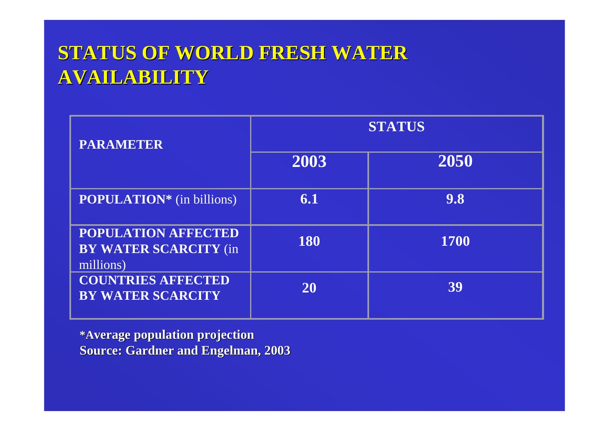## **STATUS OF WORLD FRESH WATER AVAILABILITY**

| <b>PARAMETER</b>                                                 | <b>STATUS</b> |      |
|------------------------------------------------------------------|---------------|------|
|                                                                  | 2003          | 2050 |
| <b>POPULATION</b> * (in billions)                                | 6.1           | 9.8  |
| <b>POPULATION AFFECTED</b><br>BY WATER SCARCITY (in<br>millions) | <b>180</b>    | 1700 |
| <b>COUNTRIES AFFECTED</b><br><b>BY WATER SCARCITY</b>            | <b>20</b>     | 39   |

**\*Average population projection Source: Gardner and Engelman, 2003**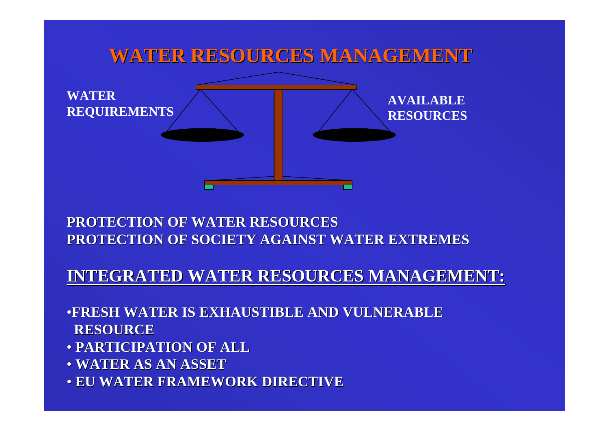

#### **PROTECTION OF WATER RESOURCES PROTECTION OF SOCIETY AGAINST WATER EXTREMES**

#### **INTEGRATED WATER RESOURCES MANAGEMENT:**

- **•FRESH WATER IS EXHAUSTIBLE AND VULNERABLE RESOURCE**
- **PARTICIPATION OF ALL**
- **WATER AS AN ASSET**
- **EU WATER FRAMEWORK DIRECTIVE**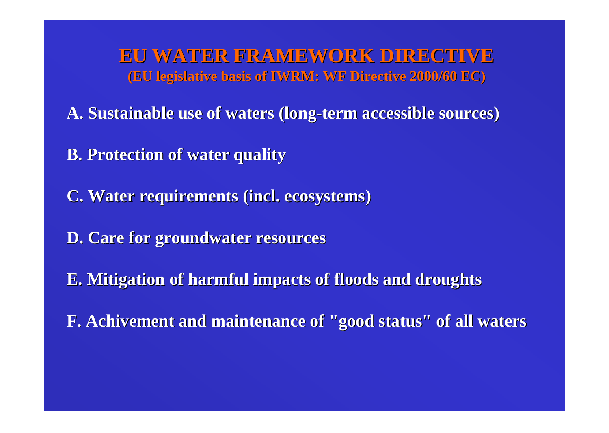**EU WATER FRAMEWORK DIRECTIVE (EU legislative basis of IWRM: WF Directive 2000/60 EC)** 

**A. Sustainable use of waters (long-term accessible sources)**

- **B. Protection of water quality**
- **C. Water requirements (incl. ecosystems)**
- **D. Care for groundwater resources**
- **E. Mitigation of harmful impacts of floods and droughts**
- **F. Achivement and maintenance of "good status" of all waters**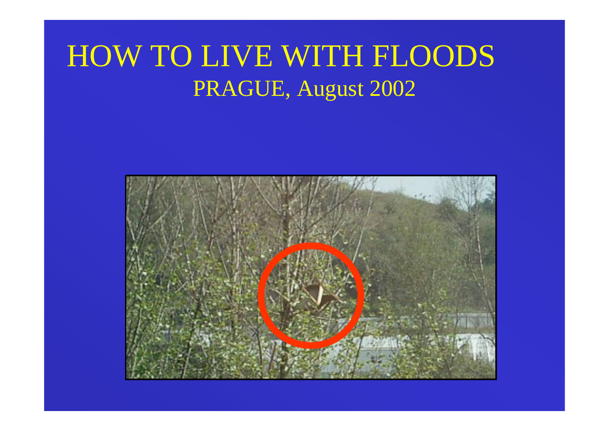# HOW TO LIVE WITH FLOODS PRAGUE, August 2002

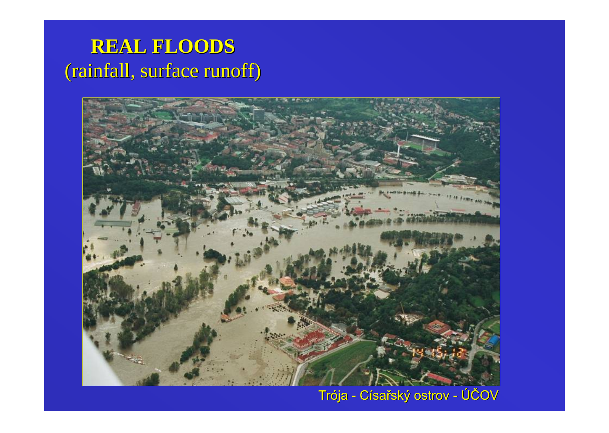## **REAL FLOODS** (rainfall, surface runoff)



Trója - Císařský ostrov - ÚČOV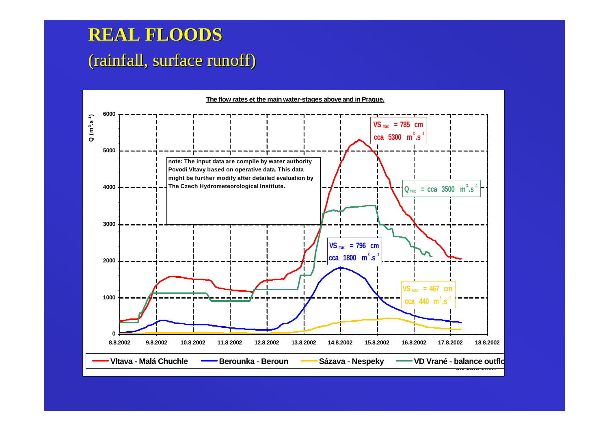## **REAL FLOODS** (rainfall, surface runoff)

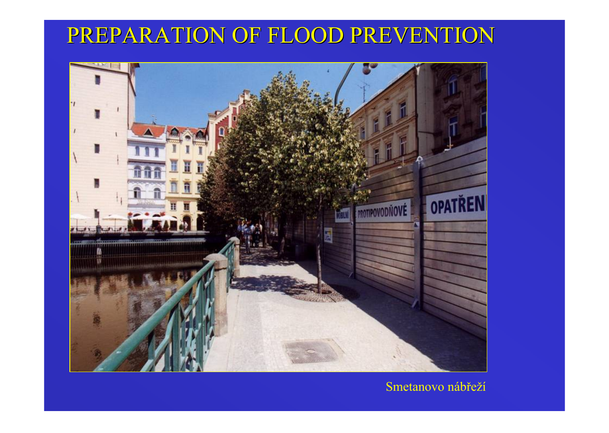# PREPARATION OF FLOOD PREVENTION



#### Smetanovo nábřeží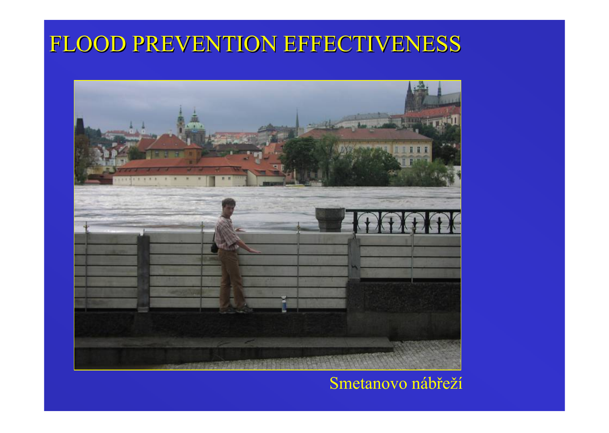# FLOOD PREVENTION EFFECTIVENESS



#### Smetanovo nábřeží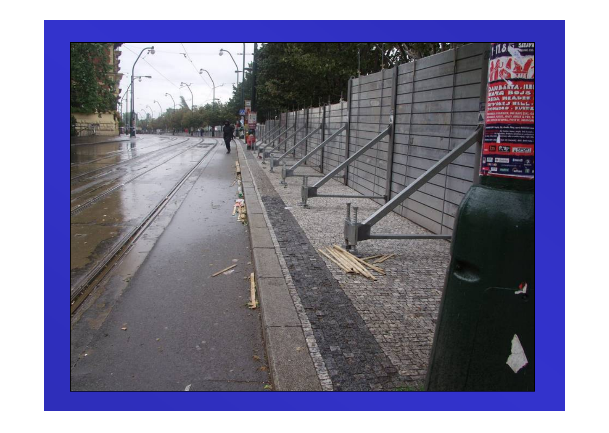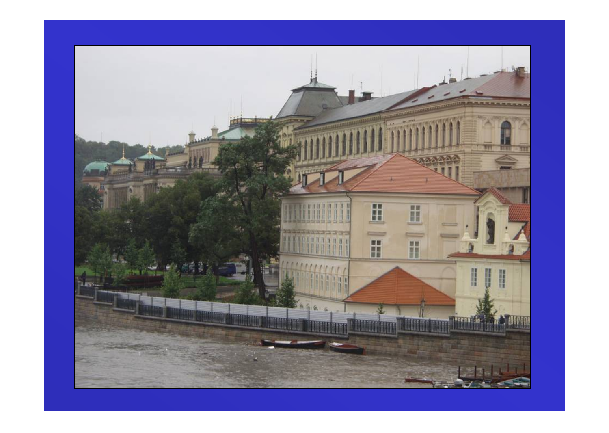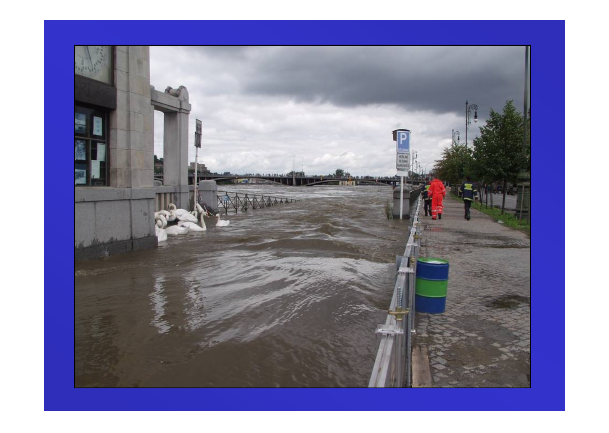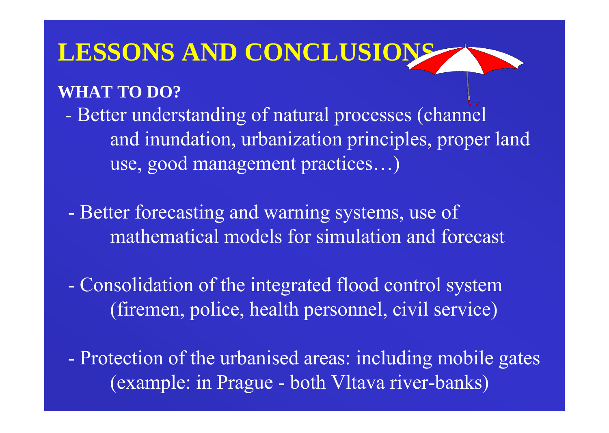# **LESSONS AND CONCLUSIONS**

#### **WHAT TO DO?**

- Better understanding of natural processes (channel and inundation, urbanization principles, proper land use, good management practices…)
- Better forecasting and warning systems, use of mathematical models for simulation and forecast
- Consolidation of the integrated flood control system (firemen, police, health personnel, civil service)
- Protection of the urbanised areas: including mobile gates (example: in Prague - both Vltava river-banks)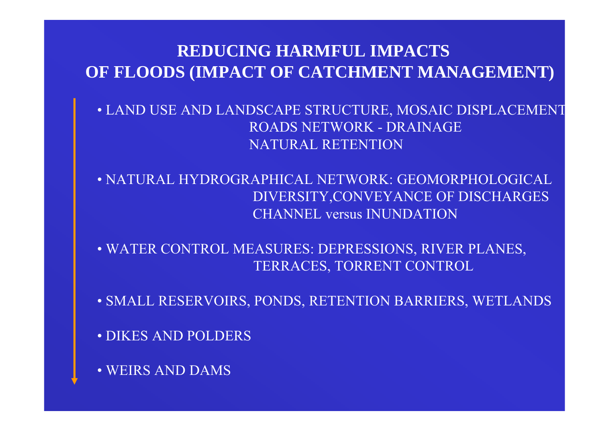#### **REDUCING HARMFUL IMPACTS OF FLOODS (IMPACT OF CATCHMENT MANAGEMENT)**

• LAND USE AND LANDSCAPE STRUCTURE, MOSAIC DISPLACEMENT ROADS NETWORK - DRAINAGE NATURAL RETENTION

• NATURAL HYDROGRAPHICAL NETWORK: GEOMORPHOLOGICAL DIVERSITY,CONVEYANCE OF DISCHARGES CHANNEL versus INUNDATION

• WATER CONTROL MEASURES: DEPRESSIONS, RIVER PLANES, TERRACES, TORRENT CONTROL

• SMALL RESERVOIRS, PONDS, RETENTION BARRIERS, WETLANDS

- DIKES AND POLDERS
- WEIRS AND DAMS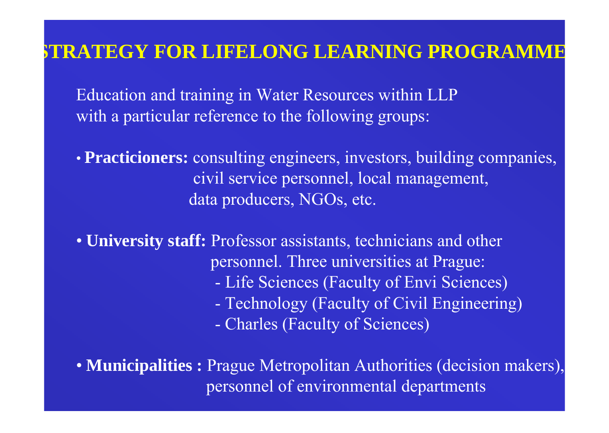#### **STRATEGY FOR LIFELONG LEARNING PROGRAMME**

Education and training in Water Resources within LLP with a particular reference to the following groups:

- **Practicioners:** consulting engineers, investors, building companies, civil service personnel, local management, data producers, NGOs, etc.
- **University staff:** Professor assistants, technicians and other personnel. Three universities at Prague:
	- Life Sciences (Faculty of Envi Sciences)
	- Technology (Faculty of Civil Engineering)
	- Charles (Faculty of Sciences)

• **Municipalities :** Prague Metropolitan Authorities (decision makers), personnel of environmental departments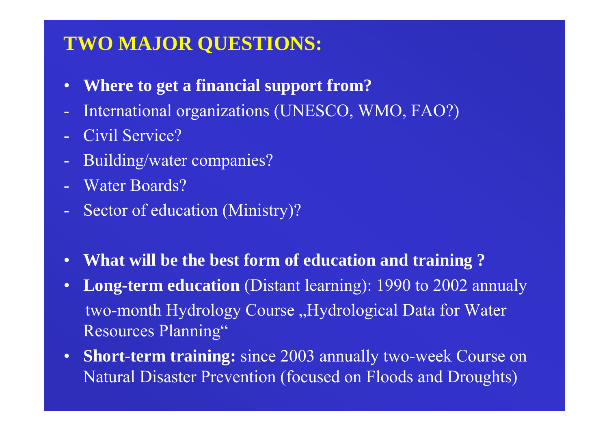## **TWO MAJOR QUESTIONS:**

- **Where to get a financial support from?**
- International organizations (UNESCO, WMO, FAO?)
- Civil Service?
- Building/water companies?
- Water Boards?
- Sector of education (Ministry)?
- **What will be the best form of education and training ?**
- **Long-term education** (Distant learning): 1990 to 2002 annualy two-month Hydrology Course , Hydrological Data for Water Resources Planning"
- **Short-term training:** since 2003 annually two-week Course on Natural Disaster Prevention (focused on Floods and Droughts)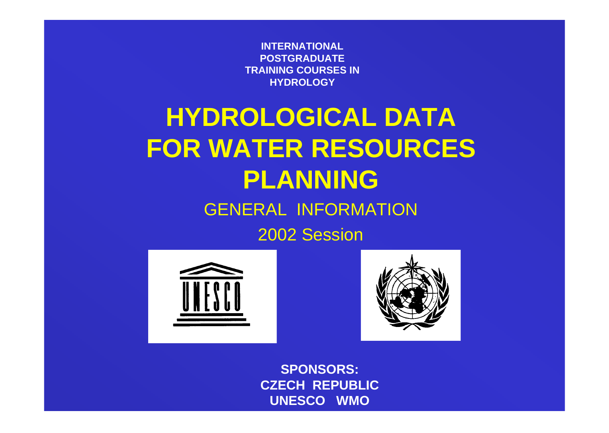**INTERNATIONAL POSTGRADUATE TRAINING COURSES IN HYDROLOGY**

# **HYDROLOGICAL DATA FOR WATER RESOURCES PLANNING**

#### GENERAL INFORMATION

2002 Session





**SPONSORS: CZECH REPUBLIC UNESCO WMO**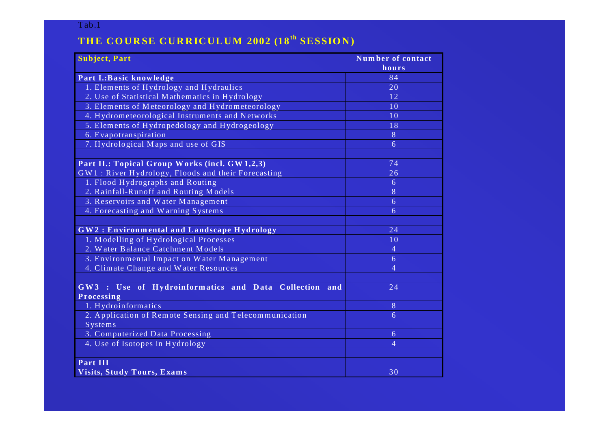#### **THE COURSE CURRICULUM 2002 (18 th SESSION)**

| Subject, Part                                                       | Number of contact<br>hours |
|---------------------------------------------------------------------|----------------------------|
| Part I.: Basic knowledge                                            | 84                         |
| 1. Elements of Hydrology and Hydraulics                             | 20                         |
| 2. Use of Statistical Mathematics in Hydrology                      | 12                         |
| 3. Elements of Meteorology and Hydrometeorology                     | 10                         |
| 4. Hydrometeorological Instruments and Networks                     | 10                         |
| 5. Elements of Hydropedology and Hydrogeology                       | 18                         |
| 6. Evapotranspiration                                               | 8                          |
| 7. Hydrological Maps and use of GIS                                 | 6                          |
|                                                                     |                            |
| Part II.: Topical Group Works (incl. GW1,2,3)                       | 74                         |
| GW1: River Hydrology, Floods and their Forecasting                  | 26                         |
| 1. Flood Hydrographs and Routing                                    | 6                          |
| 2. Rainfall-Runoff and Routing Models                               | 8                          |
| 3. Reservoirs and Water Management                                  | 6                          |
| 4. Forecasting and Warning Systems                                  | 6                          |
|                                                                     |                            |
| GW2: Environmental and Landscape Hydrology                          | 24                         |
| 1. Modelling of Hydrological Processes                              | 10                         |
| 2. Water Balance Catchment Models                                   | 4                          |
| 3. Environmental Impact on Water Management                         | 6                          |
| 4. Climate Change and Water Resources                               | 4                          |
|                                                                     |                            |
| GW3 : Use of Hydroinformatics and Data Collection and<br>Processing | 24                         |
| 1. Hydroinformatics                                                 | 8                          |
| 2. Application of Remote Sensing and Telecommunication<br>Systems   | 6                          |
| 3. Computerized Data Processing                                     | 6                          |
| 4. Use of Isotopes in Hydrology                                     | $\overline{4}$             |
|                                                                     |                            |
| Part III                                                            |                            |
| Visits, Study Tours, Exams                                          | 30                         |

Tab.1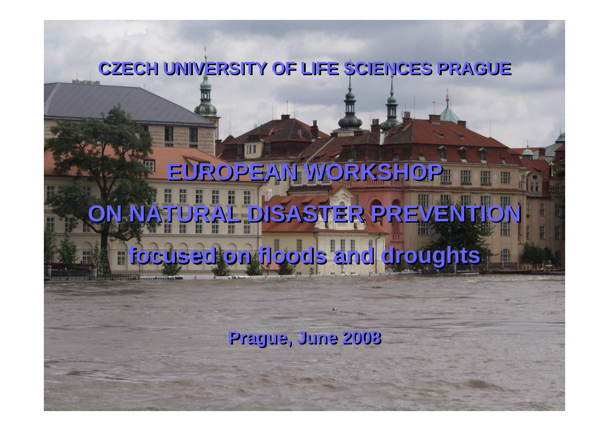### **CZECH UNIVERSITY OF LIFE SCIENCES PRAGUE**

# **EUROPEAN WORKSHOP EUROPEAN WORKSHOP ON NATURAL DISASTER PREVENTION ON NATURAL DISASTER PREVENTION focused on floods and droughts focused on floods and droughts**

**Prague, June 2008**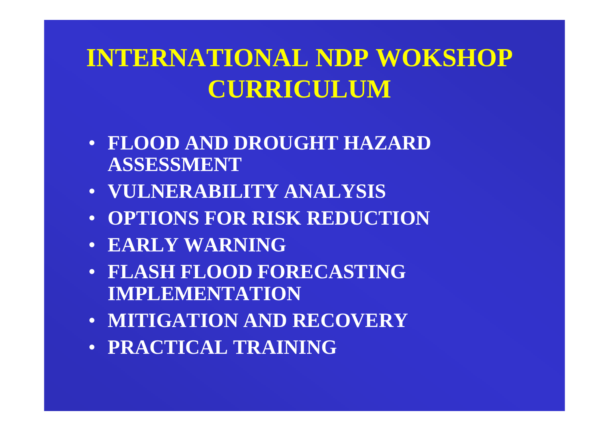# **INTERNATIONAL NDP WOKSHOP CURRICULUM**

- **FLOOD AND DROUGHT HAZARD ASSESSMENT**
- **VULNERABILITY ANALYSIS**
- **OPTIONS FOR RISK REDUCTION**
- **EARLY WARNING**
- **FLASH FLOOD FORECASTING IMPLEMENTATION**
- **MITIGATION AND RECOVERY**
- **PRACTICAL TRAINING**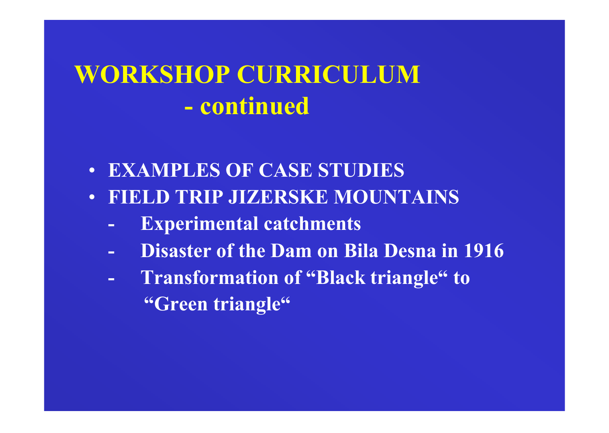# **WORKSHOP CURRICULUM - continued**

- **EXAMPLES OF CASE STUDIES**
- **FIELD TRIP JIZERSKE MOUNTAINS**
	- **- Experimental catchments**
	- **- Disaster of the Dam on Bila Desna in 1916**
	- **- Transformation of "Black triangle" to "Green triangle"**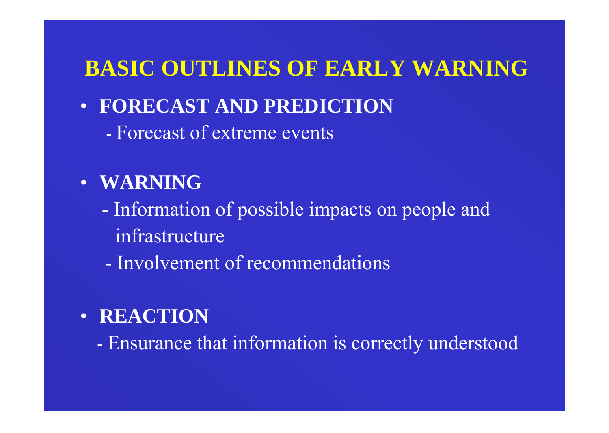# **BASIC OUTLINES OF EARLY WARNING**

# • **FORECAST AND PREDICTION**

- Forecast of extreme events

## • **WARNING**

- Information of possible impacts on people and infrastructure
- Involvement of recommendations
- **REACTION**
	- **-** Ensurance that information is correctly understood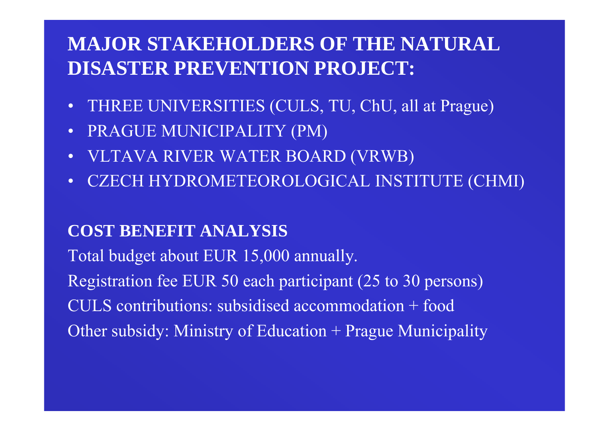## **MAJOR STAKEHOLDERS OF THE NATURAL DISASTER PREVENTION PROJECT:**

- THREE UNIVERSITIES (CULS, TU, ChU, all at Prague)
- PRAGUE MUNICIPALITY (PM)
- VLTAVA RIVER WATER BOARD (VRWB)
- CZECH HYDROMETEOROLOGICAL INSTITUTE (CHMI)

#### **COST BENEFIT ANALYSIS**

Total budget about EUR 15,000 annually. Registration fee EUR 50 each participant (25 to 30 persons) CULS contributions: subsidised accommodation + food Other subsidy: Ministry of Education + Prague Municipality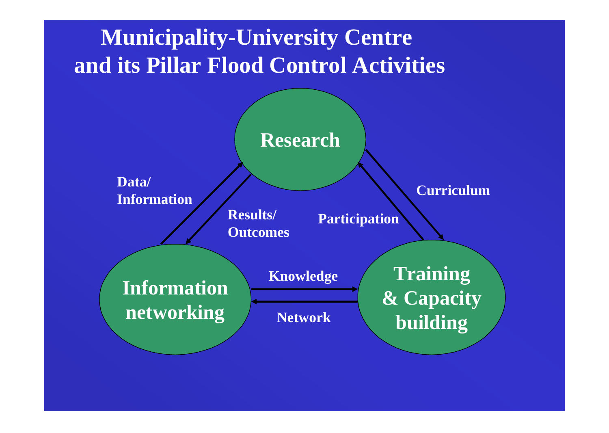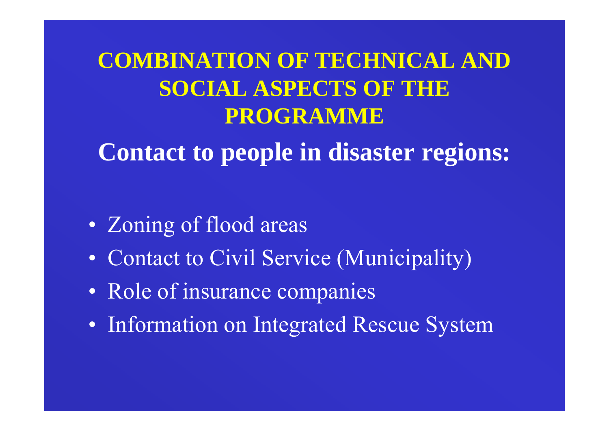# **COMBINATION OF TECHNICAL AND SOCIAL ASPECTS OF THE PROGRAMME**

**Contact to people in disaster regions:**

- Zoning of flood areas
- Contact to Civil Service (Municipality)
- Role of insurance companies
- Information on Integrated Rescue System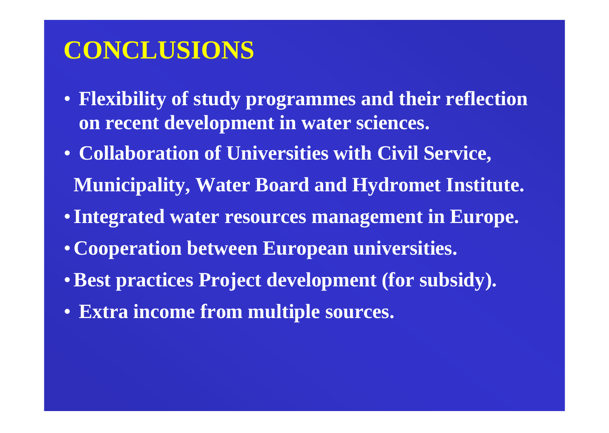# **CONCLUSIONS**

- **Flexibility of study programmes and their reflection on recent development in water sciences.**
- **Collaboration of Universities with Civil Service, Municipality, Water Board and Hydromet Institute.**
- •**Integrated water resources management in Europe.**
- **Cooperation between European universities.**
- •**Best practices Project development (for subsidy).**
- **Extra income from multiple sources.**